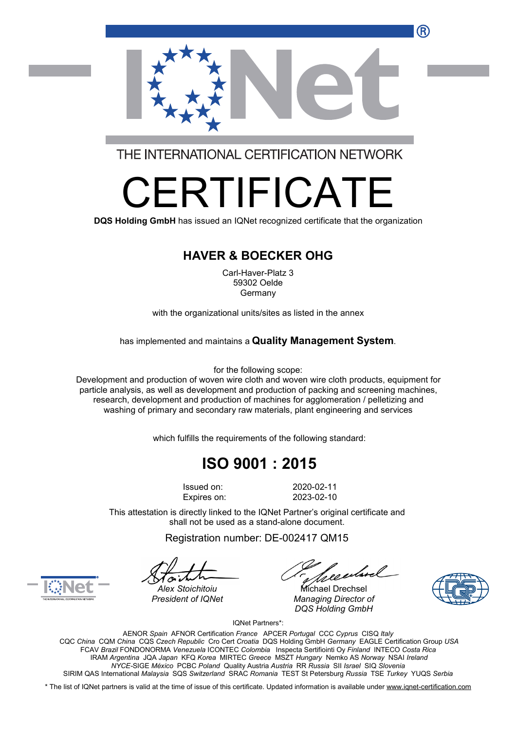R



THE INTERNATIONAL CERTIFICATION NETWORK

# RTIFICA

**DQS Holding GmbH** has issued an IQNet recognized certificate that the organization

#### **HAVER & BOECKER OHG**

Carl-Haver-Platz 3 59302 Oelde Germany

with the organizational units/sites as listed in the annex

has implemented and maintains a **Quality Management System**.

for the following scope:

Development and production of woven wire cloth and woven wire cloth products, equipment for particle analysis, as well as development and production of packing and screening machines, research, development and production of machines for agglomeration / pelletizing and washing of primary and secondary raw materials, plant engineering and services

which fulfills the requirements of the following standard:

## **ISO 9001 : 2015**

Issued on: 2020-02-11 Expires on: 2023-02-10

This attestation is directly linked to the IQNet Partner's original certificate and shall not be used as a stand-alone document.

Registration number: DE-002417 QM15

reentmel

*Alex Stoichitoiu* Michael Drechsel *President of IQNet Managing Director of DQS Holding GmbH*





IQNet Partners\*:

AENOR *Spain* AFNOR Certification *France* APCER *Portugal* CCC *Cyprus* CISQ *Italy* CQC *China* CQM *China* CQS *Czech Republic* Cro Cert *Croatia* DQS Holding GmbH *Germany* EAGLE Certification Group *USA* FCAV *Brazil* FONDONORMA *Venezuela* ICONTEC *Colombia* Inspecta Sertifiointi Oy *Finland* INTECO *Costa Rica* IRAM *Argentina* JQA *Japan* KFQ *Korea* MIRTEC *Greece* MSZT *Hungary* Nemko AS *Norway* NSAI *Ireland NYCE-*SIGE *México* PCBC *Poland* Quality Austria *Austria* RR *Russia* SII *Israel* SIQ *Slovenia* SIRIM QAS International *Malaysia* SQS *Switzerland* SRAC *Romania* TEST St Petersburg *Russia* TSE *Turkey* YUQS *Serbia*

\* The list of IQNet partners is valid at the time of issue of this certificate. Updated information is available under [www.iqnet-certification.com](http://www.iqnet-certification.com)